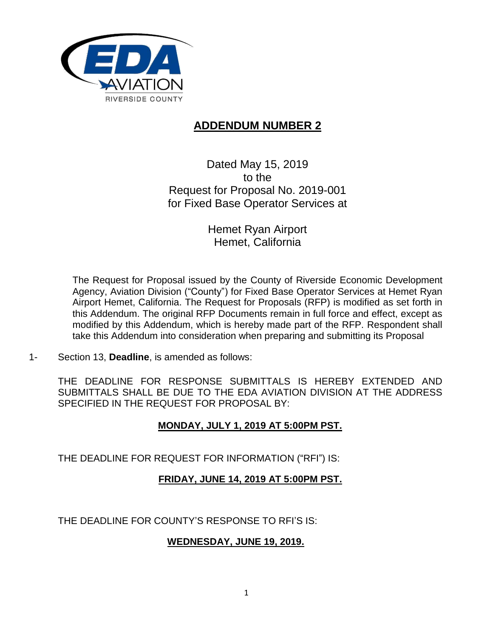

## **ADDENDUM NUMBER 2**

Dated May 15, 2019 to the Request for Proposal No. 2019-001 for Fixed Base Operator Services at

> Hemet Ryan Airport Hemet, California

The Request for Proposal issued by the County of Riverside Economic Development Agency, Aviation Division ("County") for Fixed Base Operator Services at Hemet Ryan Airport Hemet, California. The Request for Proposals (RFP) is modified as set forth in this Addendum. The original RFP Documents remain in full force and effect, except as modified by this Addendum, which is hereby made part of the RFP. Respondent shall take this Addendum into consideration when preparing and submitting its Proposal

1- Section 13, **Deadline**, is amended as follows:

THE DEADLINE FOR RESPONSE SUBMITTALS IS HEREBY EXTENDED AND SUBMITTALS SHALL BE DUE TO THE EDA AVIATION DIVISION AT THE ADDRESS SPECIFIED IN THE REQUEST FOR PROPOSAL BY:

## **MONDAY, JULY 1, 2019 AT 5:00PM PST.**

THE DEADLINE FOR REQUEST FOR INFORMATION ("RFI") IS:

## **FRIDAY, JUNE 14, 2019 AT 5:00PM PST.**

THE DEADLINE FOR COUNTY'S RESPONSE TO RFI'S IS:

## **WEDNESDAY, JUNE 19, 2019.**